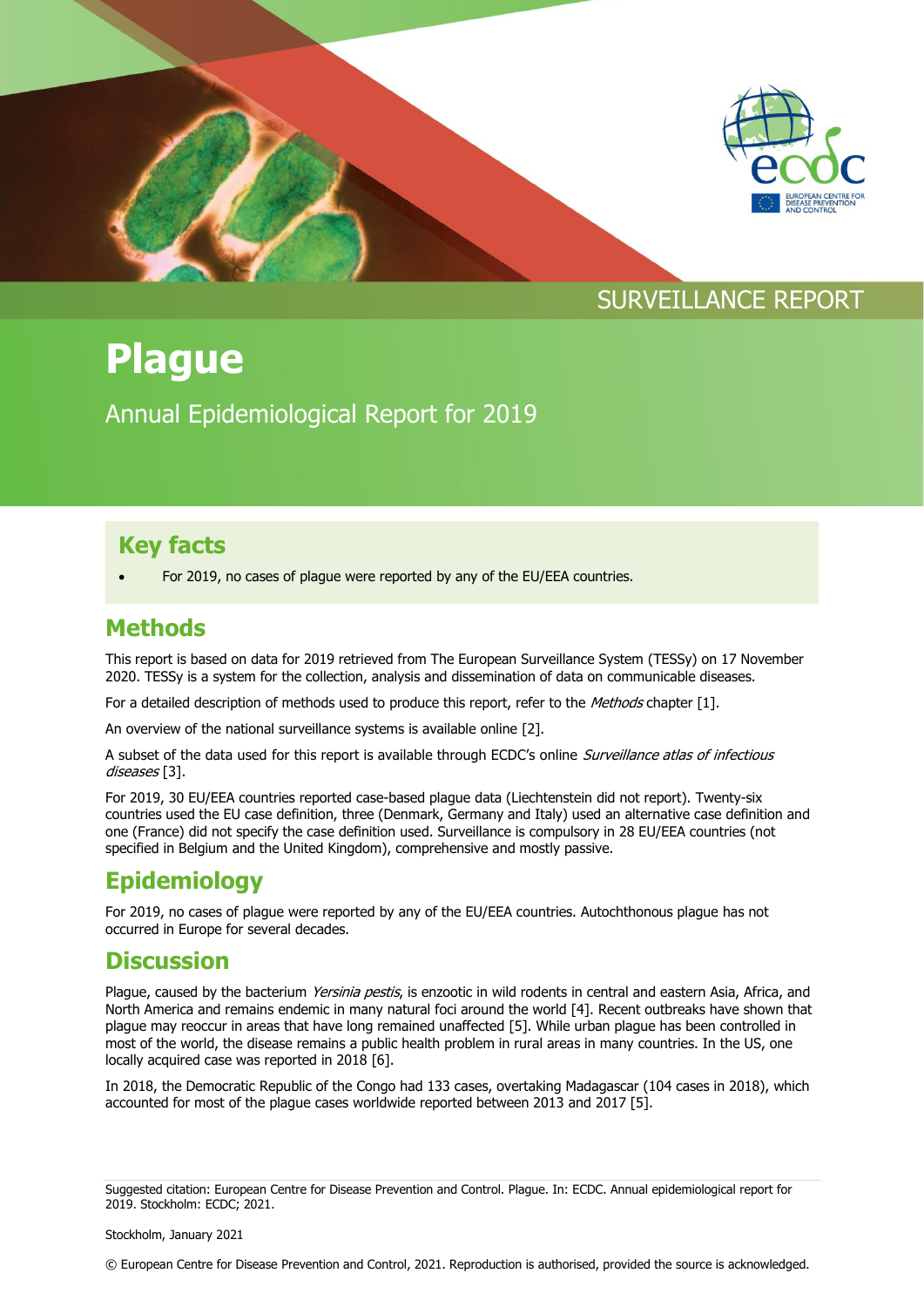

# **Plague**

Annual Epidemiological Report for 2019

## **Key facts**

For 2019, no cases of plague were reported by any of the EU/EEA countries.

#### **Methods**

This report is based on data for 2019 retrieved from The European Surveillance System (TESSy) on 17 November 2020. TESSy is a system for the collection, analysis and dissemination of data on communicable diseases.

For a detailed description of methods used to produce this report, refer to the Methods chapter [1].

An overview of the national surveillance systems is available online [2].

A subset of the data used for this report is available through ECDC's online Surveillance atlas of infectious diseases [3].

For 2019, 30 EU/EEA countries reported case-based plague data (Liechtenstein did not report). Twenty-six countries used the EU case definition, three (Denmark, Germany and Italy) used an alternative case definition and one (France) did not specify the case definition used. Surveillance is compulsory in 28 EU/EEA countries (not specified in Belgium and the United Kingdom), comprehensive and mostly passive.

# **Epidemiology**

For 2019, no cases of plague were reported by any of the EU/EEA countries. Autochthonous plague has not occurred in Europe for several decades.

### **Discussion**

Plague, caused by the bacterium Yersinia pestis, is enzootic in wild rodents in central and eastern Asia, Africa, and North America and remains endemic in many natural foci around the world [4]. Recent outbreaks have shown that plague may reoccur in areas that have long remained unaffected [5]. While urban plague has been controlled in most of the world, the disease remains a public health problem in rural areas in many countries. In the US, one locally acquired case was reported in 2018 [6].

In 2018, the Democratic Republic of the Congo had 133 cases, overtaking Madagascar (104 cases in 2018), which accounted for most of the plague cases worldwide reported between 2013 and 2017 [5].

Suggested citation: European Centre for Disease Prevention and Control. Plague. In: ECDC. Annual epidemiological report for 2019. Stockholm: ECDC; 2021.

© European Centre for Disease Prevention and Control, 2021. Reproduction is authorised, provided the source is acknowledged.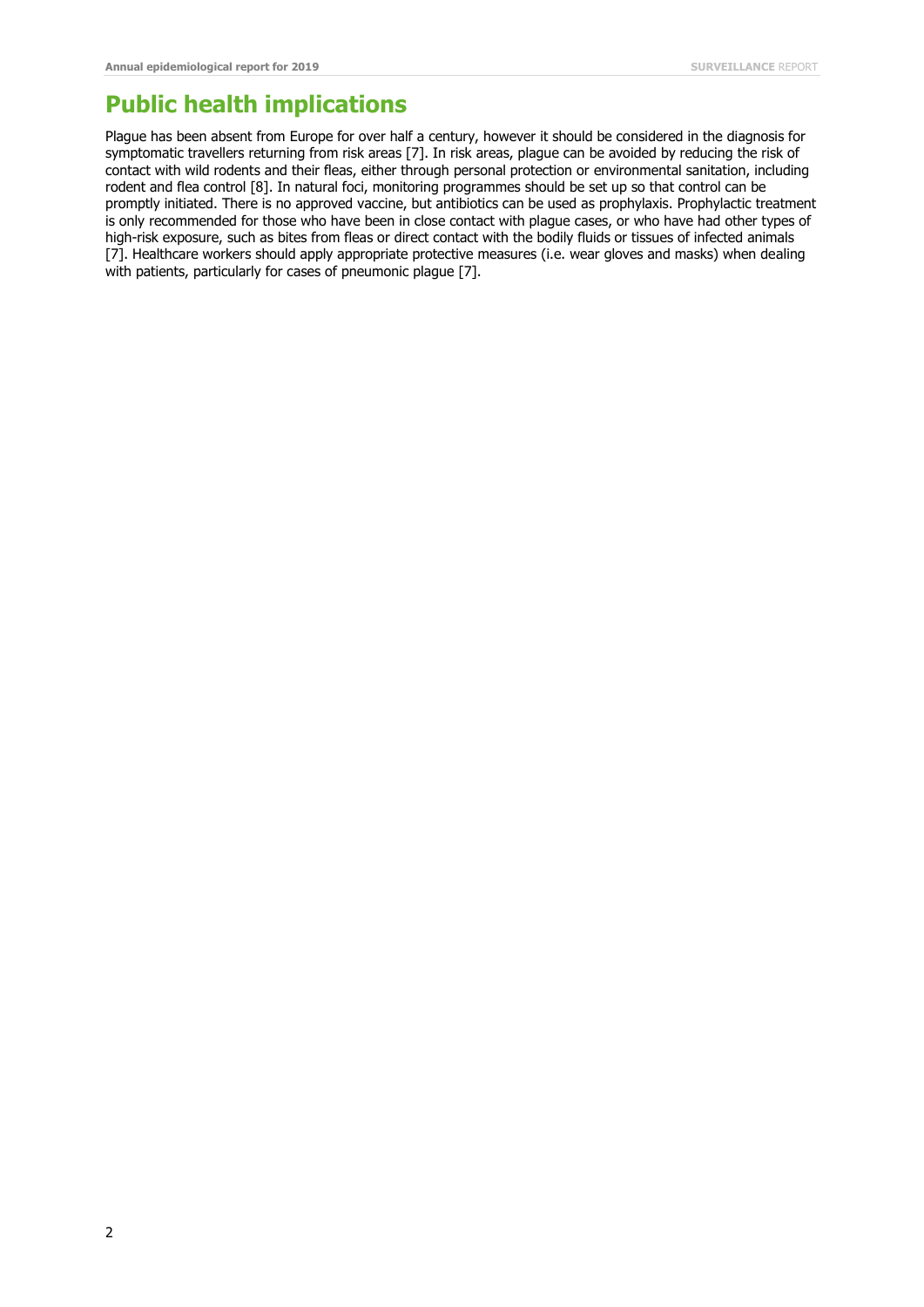### **Public health implications**

Plague has been absent from Europe for over half a century, however it should be considered in the diagnosis for symptomatic travellers returning from risk areas [7]. In risk areas, plague can be avoided by reducing the risk of contact with wild rodents and their fleas, either through personal protection or environmental sanitation, including rodent and flea control [8]. In natural foci, monitoring programmes should be set up so that control can be promptly initiated. There is no approved vaccine, but antibiotics can be used as prophylaxis. Prophylactic treatment is only recommended for those who have been in close contact with plague cases, or who have had other types of high-risk exposure, such as bites from fleas or direct contact with the bodily fluids or tissues of infected animals [7]. Healthcare workers should apply appropriate protective measures (i.e. wear gloves and masks) when dealing with patients, particularly for cases of pneumonic plague [7].